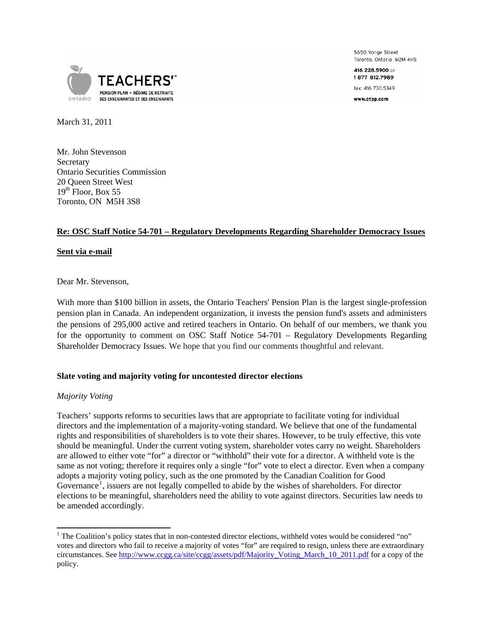

5650 Yonge Street Toronto, Ontario M2M 4H5

416 228.5900 or 1877 812.7989

fax: 416 730.5349

www.otpp.com

March 31, 2011

Mr. John Stevenson **Secretary** Ontario Securities Commission 20 Queen Street West  $19<sup>th</sup>$  Floor, Box 55 Toronto, ON M5H 3S8

# **Re: OSC Staff Notice 54-701 – Regulatory Developments Regarding Shareholder Democracy Issues**

## **Sent via e-mail**

Dear Mr. Stevenson,

With more than \$100 billion in assets, the Ontario Teachers' Pension Plan is the largest single-profession pension plan in Canada. An independent organization, it invests the pension fund's assets and administers the pensions of 295,000 active and retired teachers in Ontario. On behalf of our members, we thank you for the opportunity to comment on OSC Staff Notice 54-701 – Regulatory Developments Regarding Shareholder Democracy Issues. We hope that you find our comments thoughtful and relevant.

# **Slate voting and majority voting for uncontested director elections**

### *Majority Voting*

Teachers' supports reforms to securities laws that are appropriate to facilitate voting for individual directors and the implementation of a majority-voting standard. We believe that one of the fundamental rights and responsibilities of shareholders is to vote their shares. However, to be truly effective, this vote should be meaningful. Under the current voting system, shareholder votes carry no weight. Shareholders are allowed to either vote "for" a director or "withhold" their vote for a director. A withheld vote is the same as not voting; therefore it requires only a single "for" vote to elect a director. Even when a company adopts a majority voting policy, such as the one promoted by the Canadian Coalition for Good Governance<sup>[1](#page-0-0)</sup>, issuers are not legally compelled to abide by the wishes of shareholders. For director elections to be meaningful, shareholders need the ability to vote against directors. Securities law needs to be amended accordingly.

<span id="page-0-0"></span><sup>1</sup>  $1$  The Coalition's policy states that in non-contested director elections, withheld votes would be considered "no" votes and directors who fail to receive a majority of votes "for" are required to resign, unless there are extraordinary circumstances. See [http://www.ccgg.ca/site/ccgg/assets/pdf/Majority\\_Voting\\_March\\_10\\_2011.pdf](http://www.ccgg.ca/site/ccgg/assets/pdf/Majority_Voting_March_10_2011.pdf) for a copy of the policy.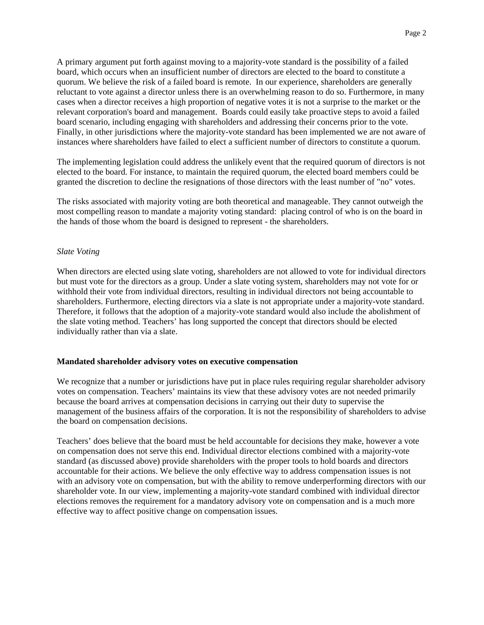A primary argument put forth against moving to a majority-vote standard is the possibility of a failed board, which occurs when an insufficient number of directors are elected to the board to constitute a quorum. We believe the risk of a failed board is remote. In our experience, shareholders are generally reluctant to vote against a director unless there is an overwhelming reason to do so. Furthermore, in many cases when a director receives a high proportion of negative votes it is not a surprise to the market or the relevant corporation's board and management. Boards could easily take proactive steps to avoid a failed board scenario, including engaging with shareholders and addressing their concerns prior to the vote. Finally, in other jurisdictions where the majority-vote standard has been implemented we are not aware of instances where shareholders have failed to elect a sufficient number of directors to constitute a quorum.

The implementing legislation could address the unlikely event that the required quorum of directors is not elected to the board. For instance, to maintain the required quorum, the elected board members could be granted the discretion to decline the resignations of those directors with the least number of "no" votes.

The risks associated with majority voting are both theoretical and manageable. They cannot outweigh the most compelling reason to mandate a majority voting standard: placing control of who is on the board in the hands of those whom the board is designed to represent - the shareholders.

## *Slate Voting*

When directors are elected using slate voting, shareholders are not allowed to vote for individual directors but must vote for the directors as a group. Under a slate voting system, shareholders may not vote for or withhold their vote from individual directors, resulting in individual directors not being accountable to shareholders. Furthermore, electing directors via a slate is not appropriate under a majority-vote standard. Therefore, it follows that the adoption of a majority-vote standard would also include the abolishment of the slate voting method. Teachers' has long supported the concept that directors should be elected individually rather than via a slate.

### **Mandated shareholder advisory votes on executive compensation**

We recognize that a number or jurisdictions have put in place rules requiring regular shareholder advisory votes on compensation. Teachers' maintains its view that these advisory votes are not needed primarily because the board arrives at compensation decisions in carrying out their duty to supervise the management of the business affairs of the corporation. It is not the responsibility of shareholders to advise the board on compensation decisions.

Teachers' does believe that the board must be held accountable for decisions they make, however a vote on compensation does not serve this end. Individual director elections combined with a majority-vote standard (as discussed above) provide shareholders with the proper tools to hold boards and directors accountable for their actions. We believe the only effective way to address compensation issues is not with an advisory vote on compensation, but with the ability to remove underperforming directors with our shareholder vote. In our view, implementing a majority-vote standard combined with individual director elections removes the requirement for a mandatory advisory vote on compensation and is a much more effective way to affect positive change on compensation issues.